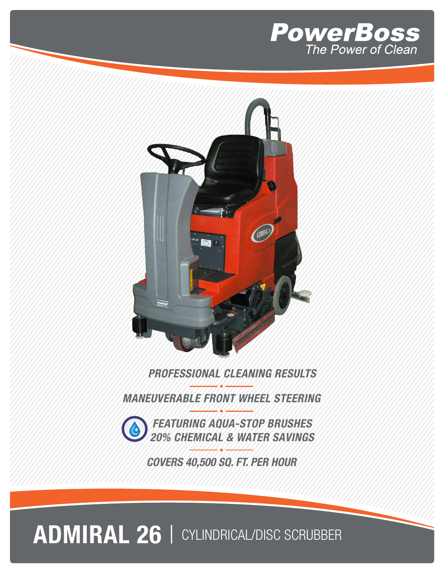



#### **PROFESSIONAL CLEANING RESULTS**

**MANEUVERABLE FRONT WHEEL STEERING**



**COVERS 40,500 SQ. FT. PER HOUR**

## **ADMIRAL 26** | CYLINDRICAL/DISC SCRUBBER